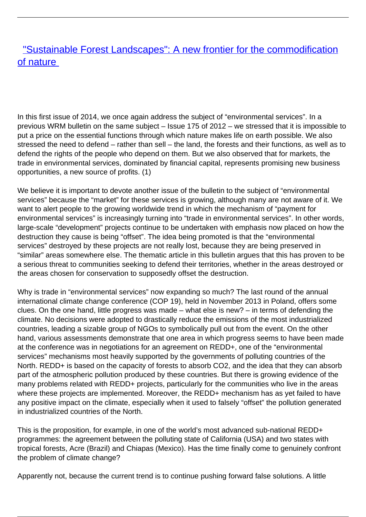## ["Sustainable Forest Landscapes": A new frontier for the commodification](/bulletin-articles/sustainable-forest-landscapes-a-new-frontier-for-the-commodification-of-nature) [of nature](/bulletin-articles/sustainable-forest-landscapes-a-new-frontier-for-the-commodification-of-nature)

In this first issue of 2014, we once again address the subject of "environmental services". In a previous WRM bulletin on the same subject – Issue 175 of 2012 – we stressed that it is impossible to put a price on the essential functions through which nature makes life on earth possible. We also stressed the need to defend – rather than sell – the land, the forests and their functions, as well as to defend the rights of the people who depend on them. But we also observed that for markets, the trade in environmental services, dominated by financial capital, represents promising new business opportunities, a new source of profits. (1)

We believe it is important to devote another issue of the bulletin to the subject of "environmental services" because the "market" for these services is growing, although many are not aware of it. We want to alert people to the growing worldwide trend in which the mechanism of "payment for environmental services" is increasingly turning into "trade in environmental services". In other words, large-scale "development" projects continue to be undertaken with emphasis now placed on how the destruction they cause is being "offset". The idea being promoted is that the "environmental services" destroyed by these projects are not really lost, because they are being preserved in "similar" areas somewhere else. The thematic article in this bulletin argues that this has proven to be a serious threat to communities seeking to defend their territories, whether in the areas destroyed or the areas chosen for conservation to supposedly offset the destruction.

Why is trade in "environmental services" now expanding so much? The last round of the annual international climate change conference (COP 19), held in November 2013 in Poland, offers some clues. On the one hand, little progress was made – what else is new? – in terms of defending the climate. No decisions were adopted to drastically reduce the emissions of the most industrialized countries, leading a sizable group of NGOs to symbolically pull out from the event. On the other hand, various assessments demonstrate that one area in which progress seems to have been made at the conference was in negotiations for an agreement on REDD+, one of the "environmental services" mechanisms most heavily supported by the governments of polluting countries of the North. REDD+ is based on the capacity of forests to absorb CO2, and the idea that they can absorb part of the atmospheric pollution produced by these countries. But there is growing evidence of the many problems related with REDD+ projects, particularly for the communities who live in the areas where these projects are implemented. Moreover, the REDD+ mechanism has as yet failed to have any positive impact on the climate, especially when it used to falsely "offset" the pollution generated in industrialized countries of the North.

This is the proposition, for example, in one of the world's most advanced sub-national REDD+ programmes: the agreement between the polluting state of California (USA) and two states with tropical forests, Acre (Brazil) and Chiapas (Mexico). Has the time finally come to genuinely confront the problem of climate change?

Apparently not, because the current trend is to continue pushing forward false solutions. A little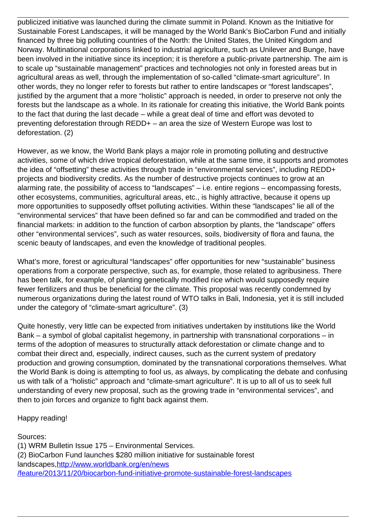publicized initiative was launched during the climate summit in Poland. Known as the Initiative for Sustainable Forest Landscapes, it will be managed by the World Bank's BioCarbon Fund and initially financed by three big polluting countries of the North: the United States, the United Kingdom and Norway. Multinational corporations linked to industrial agriculture, such as Unilever and Bunge, have been involved in the initiative since its inception; it is therefore a public-private partnership. The aim is to scale up "sustainable management" practices and technologies not only in forested areas but in agricultural areas as well, through the implementation of so-called "climate-smart agriculture". In other words, they no longer refer to forests but rather to entire landscapes or "forest landscapes", justified by the argument that a more "holistic" approach is needed, in order to preserve not only the forests but the landscape as a whole. In its rationale for creating this initiative, the World Bank points to the fact that during the last decade – while a great deal of time and effort was devoted to preventing deforestation through REDD+ – an area the size of Western Europe was lost to deforestation. (2)

However, as we know, the World Bank plays a major role in promoting polluting and destructive activities, some of which drive tropical deforestation, while at the same time, it supports and promotes the idea of "offsetting" these activities through trade in "environmental services", including REDD+ projects and biodiversity credits. As the number of destructive projects continues to grow at an alarming rate, the possibility of access to "landscapes" – i.e. entire regions – encompassing forests, other ecosystems, communities, agricultural areas, etc., is highly attractive, because it opens up more opportunities to supposedly offset polluting activities. Within these "landscapes" lie all of the "environmental services" that have been defined so far and can be commodified and traded on the financial markets: in addition to the function of carbon absorption by plants, the "landscape" offers other "environmental services", such as water resources, soils, biodiversity of flora and fauna, the scenic beauty of landscapes, and even the knowledge of traditional peoples.

What's more, forest or agricultural "landscapes" offer opportunities for new "sustainable" business operations from a corporate perspective, such as, for example, those related to agribusiness. There has been talk, for example, of planting genetically modified rice which would supposedly require fewer fertilizers and thus be beneficial for the climate. This proposal was recently condemned by numerous organizations during the latest round of WTO talks in Bali, Indonesia, yet it is still included under the category of "climate-smart agriculture". (3)

Quite honestly, very little can be expected from initiatives undertaken by institutions like the World Bank – a symbol of global capitalist hegemony, in partnership with transnational corporations – in terms of the adoption of measures to structurally attack deforestation or climate change and to combat their direct and, especially, indirect causes, such as the current system of predatory production and growing consumption, dominated by the transnational corporations themselves. What the World Bank is doing is attempting to fool us, as always, by complicating the debate and confusing us with talk of a "holistic" approach and "climate-smart agriculture". It is up to all of us to seek full understanding of every new proposal, such as the growing trade in "environmental services", and then to join forces and organize to fight back against them.

Happy reading!

Sources:

(1) WRM Bulletin Issue 175 – Environmental Services. (2) BioCarbon Fund launches \$280 million initiative for sustainable forest landscapes, http://www.worldbank.org/en/news [/feature/2013/11/20/biocarbon-fund-initiative-promote-sustainable-forest-landscapes](http://www.worldbank.org/en/news%20/feature/2013/11/20/biocarbon-fund-initiative-promote-sustainable-forest-landscapes)